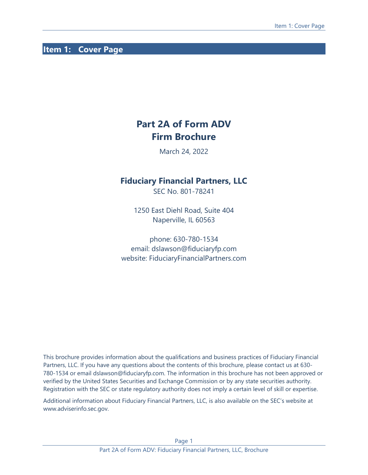# <span id="page-0-0"></span>**Item 1: Cover Page**

# **Part 2A of Form ADV Firm Brochure**

March 24, 2022

## **Fiduciary Financial Partners, LLC**

SEC No. 801-78241

1250 East Diehl Road, Suite 404 Naperville, IL 60563

phone: 630-780-1534 email: dslawson@fiduciaryfp.com website: FiduciaryFinancialPartners.com

This brochure provides information about the qualifications and business practices of Fiduciary Financial Partners, LLC. If you have any questions about the contents of this brochure, please contact us at 630- 780-1534 or email dslawson@fiduciaryfp.com. The information in this brochure has not been approved or verified by the United States Securities and Exchange Commission or by any state securities authority. Registration with the SEC or state regulatory authority does not imply a certain level of skill or expertise.

Additional information about Fiduciary Financial Partners, LLC, is also available on the SEC's website at www.adviserinfo.sec.gov.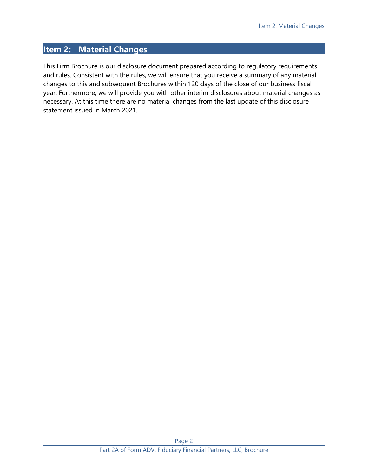# <span id="page-1-0"></span>**Item 2: Material Changes**

This Firm Brochure is our disclosure document prepared according to regulatory requirements and rules. Consistent with the rules, we will ensure that you receive a summary of any material changes to this and subsequent Brochures within 120 days of the close of our business fiscal year. Furthermore, we will provide you with other interim disclosures about material changes as necessary. At this time there are no material changes from the last update of this disclosure statement issued in March 2021.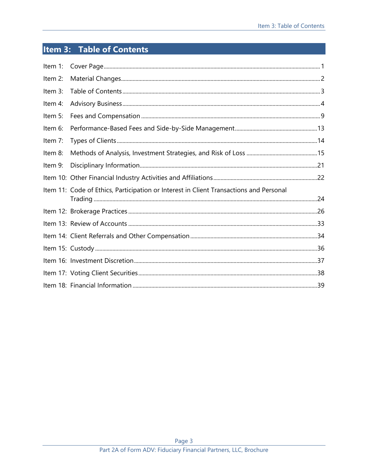# <span id="page-2-0"></span>Item 3: Table of Contents

| Item 1: |                                                                                        |  |
|---------|----------------------------------------------------------------------------------------|--|
| Item 2: |                                                                                        |  |
| Item 3: |                                                                                        |  |
| Item 4: |                                                                                        |  |
| Item 5: |                                                                                        |  |
| Item 6: |                                                                                        |  |
| Item 7: |                                                                                        |  |
| Item 8: |                                                                                        |  |
| Item 9: |                                                                                        |  |
|         |                                                                                        |  |
|         | Item 11: Code of Ethics, Participation or Interest in Client Transactions and Personal |  |
|         |                                                                                        |  |
|         |                                                                                        |  |
|         |                                                                                        |  |
|         |                                                                                        |  |
|         |                                                                                        |  |
|         |                                                                                        |  |
|         |                                                                                        |  |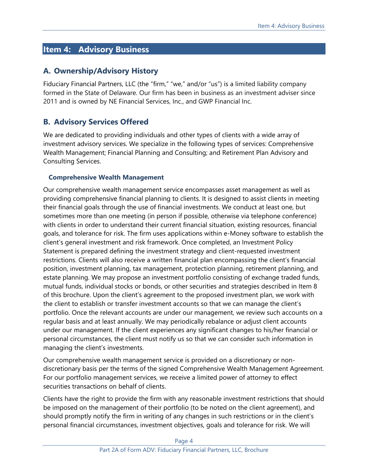# <span id="page-3-0"></span>**Item 4: Advisory Business**

## **A. Ownership/Advisory History**

Fiduciary Financial Partners, LLC (the "firm," "we," and/or "us") is a limited liability company formed in the State of Delaware. Our firm has been in business as an investment adviser since 2011 and is owned by NE Financial Services, Inc., and GWP Financial Inc.

# **B. Advisory Services Offered**

We are dedicated to providing individuals and other types of clients with a wide array of investment advisory services. We specialize in the following types of services: Comprehensive Wealth Management; Financial Planning and Consulting; and Retirement Plan Advisory and Consulting Services.

#### **Comprehensive Wealth Management**

Our comprehensive wealth management service encompasses asset management as well as providing comprehensive financial planning to clients. It is designed to assist clients in meeting their financial goals through the use of financial investments. We conduct at least one, but sometimes more than one meeting (in person if possible, otherwise via telephone conference) with clients in order to understand their current financial situation, existing resources, financial goals, and tolerance for risk. The firm uses applications within e-Money software to establish the client's general investment and risk framework. Once completed, an Investment Policy Statement is prepared defining the investment strategy and client-requested investment restrictions. Clients will also receive a written financial plan encompassing the client's financial position, investment planning, tax management, protection planning, retirement planning, and estate planning. We may propose an investment portfolio consisting of exchange traded funds, mutual funds, individual stocks or bonds, or other securities and strategies described in Item 8 of this brochure. Upon the client's agreement to the proposed investment plan, we work with the client to establish or transfer investment accounts so that we can manage the client's portfolio. Once the relevant accounts are under our management, we review such accounts on a regular basis and at least annually. We may periodically rebalance or adjust client accounts under our management. If the client experiences any significant changes to his/her financial or personal circumstances, the client must notify us so that we can consider such information in managing the client's investments.

Our comprehensive wealth management service is provided on a discretionary or nondiscretionary basis per the terms of the signed Comprehensive Wealth Management Agreement. For our portfolio management services, we receive a limited power of attorney to effect securities transactions on behalf of clients.

Clients have the right to provide the firm with any reasonable investment restrictions that should be imposed on the management of their portfolio (to be noted on the client agreement), and should promptly notify the firm in writing of any changes in such restrictions or in the client's personal financial circumstances, investment objectives, goals and tolerance for risk. We will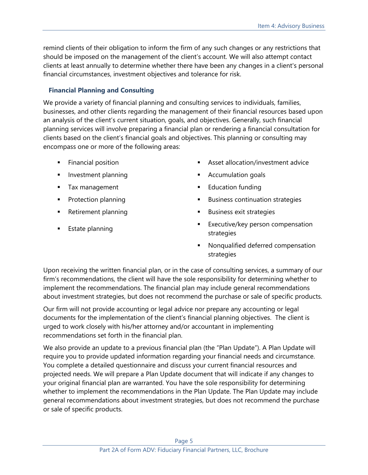remind clients of their obligation to inform the firm of any such changes or any restrictions that should be imposed on the management of the client's account. We will also attempt contact clients at least annually to determine whether there have been any changes in a client's personal financial circumstances, investment objectives and tolerance for risk.

### **Financial Planning and Consulting**

We provide a variety of financial planning and consulting services to individuals, families, businesses, and other clients regarding the management of their financial resources based upon an analysis of the client's current situation, goals, and objectives. Generally, such financial planning services will involve preparing a financial plan or rendering a financial consultation for clients based on the client's financial goals and objectives. This planning or consulting may encompass one or more of the following areas:

- 
- 
- 
- 
- 
- 
- **Financial position Example 20 Example 20 Example 20 Example 20 Example 20 EXAMPLE 20 EXAMPLE 20 EXAMPLE 20 EXAMPLE 20 EXAMPLE 20 EXAMPLE 20 EXAMPLE 20 EXAMPLE 20 EXAMPLE 20 EXAMPLE 20 EXAM**
- Investment planning **Example 2** Accumulation goals
- Tax management **Education funding**
- Protection planning **Example 2018 Example 3** Business continuation strategies
- Retirement planning **Example 20** Business exit strategies
- **Estate planning**  $\qquad \qquad \qquad$  **Executive/key person compensation** strategies
	- Nonqualified deferred compensation strategies

Upon receiving the written financial plan, or in the case of consulting services, a summary of our firm's recommendations, the client will have the sole responsibility for determining whether to implement the recommendations. The financial plan may include general recommendations about investment strategies, but does not recommend the purchase or sale of specific products.

Our firm will not provide accounting or legal advice nor prepare any accounting or legal documents for the implementation of the client's financial planning objectives. The client is urged to work closely with his/her attorney and/or accountant in implementing recommendations set forth in the financial plan.

We also provide an update to a previous financial plan (the "Plan Update"). A Plan Update will require you to provide updated information regarding your financial needs and circumstance. You complete a detailed questionnaire and discuss your current financial resources and projected needs. We will prepare a Plan Update document that will indicate if any changes to your original financial plan are warranted. You have the sole responsibility for determining whether to implement the recommendations in the Plan Update. The Plan Update may include general recommendations about investment strategies, but does not recommend the purchase or sale of specific products.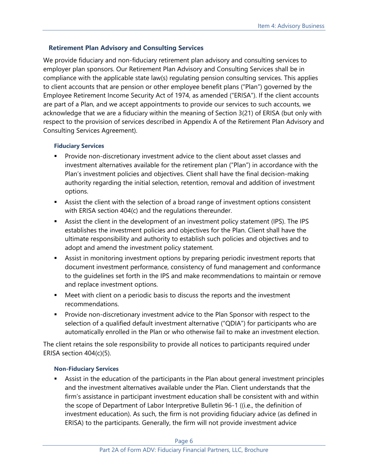#### **Retirement Plan Advisory and Consulting Services**

We provide fiduciary and non-fiduciary retirement plan advisory and consulting services to employer plan sponsors. Our Retirement Plan Advisory and Consulting Services shall be in compliance with the applicable state law(s) regulating pension consulting services. This applies to client accounts that are pension or other employee benefit plans ("Plan") governed by the Employee Retirement Income Security Act of 1974, as amended ("ERISA"). If the client accounts are part of a Plan, and we accept appointments to provide our services to such accounts, we acknowledge that we are a fiduciary within the meaning of Section 3(21) of ERISA (but only with respect to the provision of services described in Appendix A of the Retirement Plan Advisory and Consulting Services Agreement).

#### **Fiduciary Services**

- Provide non-discretionary investment advice to the client about asset classes and investment alternatives available for the retirement plan ("Plan") in accordance with the Plan's investment policies and objectives. Client shall have the final decision-making authority regarding the initial selection, retention, removal and addition of investment options.
- Assist the client with the selection of a broad range of investment options consistent with ERISA section 404(c) and the regulations thereunder.
- **EXECT** Assist the client in the development of an investment policy statement (IPS). The IPS establishes the investment policies and objectives for the Plan. Client shall have the ultimate responsibility and authority to establish such policies and objectives and to adopt and amend the investment policy statement.
- Assist in monitoring investment options by preparing periodic investment reports that document investment performance, consistency of fund management and conformance to the guidelines set forth in the IPS and make recommendations to maintain or remove and replace investment options.
- Meet with client on a periodic basis to discuss the reports and the investment recommendations.
- **•** Provide non-discretionary investment advice to the Plan Sponsor with respect to the selection of a qualified default investment alternative ("QDIA") for participants who are automatically enrolled in the Plan or who otherwise fail to make an investment election.

The client retains the sole responsibility to provide all notices to participants required under ERISA section 404(c)(5).

#### **Non-Fiduciary Services**

Assist in the education of the participants in the Plan about general investment principles and the investment alternatives available under the Plan. Client understands that the firm's assistance in participant investment education shall be consistent with and within the scope of Department of Labor Interpretive Bulletin 96-1 ((i.e., the definition of investment education). As such, the firm is not providing fiduciary advice (as defined in ERISA) to the participants. Generally, the firm will not provide investment advice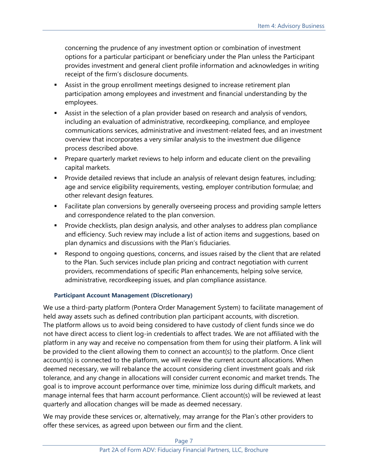concerning the prudence of any investment option or combination of investment options for a particular participant or beneficiary under the Plan unless the Participant provides investment and general client profile information and acknowledges in writing receipt of the firm's disclosure documents.

- **EXEL Assist in the group enrollment meetings designed to increase retirement plan** participation among employees and investment and financial understanding by the employees.
- Assist in the selection of a plan provider based on research and analysis of vendors, including an evaluation of administrative, recordkeeping, compliance, and employee communications services, administrative and investment-related fees, and an investment overview that incorporates a very similar analysis to the investment due diligence process described above.
- **•** Prepare quarterly market reviews to help inform and educate client on the prevailing capital markets.
- **•** Provide detailed reviews that include an analysis of relevant design features, including; age and service eligibility requirements, vesting, employer contribution formulae; and other relevant design features.
- Facilitate plan conversions by generally overseeing process and providing sample letters and correspondence related to the plan conversion.
- Provide checklists, plan design analysis, and other analyses to address plan compliance and efficiency. Such review may include a list of action items and suggestions, based on plan dynamics and discussions with the Plan's fiduciaries.
- Respond to ongoing questions, concerns, and issues raised by the client that are related to the Plan. Such services include plan pricing and contract negotiation with current providers, recommendations of specific Plan enhancements, helping solve service, administrative, recordkeeping issues, and plan compliance assistance.

#### **Participant Account Management (Discretionary)**

We use a third-party platform (Pontera Order Management System) to facilitate management of held away assets such as defined contribution plan participant accounts, with discretion. The platform allows us to avoid being considered to have custody of client funds since we do not have direct access to client log-in credentials to affect trades. We are not affiliated with the platform in any way and receive no compensation from them for using their platform. A link will be provided to the client allowing them to connect an account(s) to the platform. Once client account(s) is connected to the platform, we will review the current account allocations. When deemed necessary, we will rebalance the account considering client investment goals and risk tolerance, and any change in allocations will consider current economic and market trends. The goal is to improve account performance over time, minimize loss during difficult markets, and manage internal fees that harm account performance. Client account(s) will be reviewed at least quarterly and allocation changes will be made as deemed necessary.

We may provide these services or, alternatively, may arrange for the Plan's other providers to offer these services, as agreed upon between our firm and the client.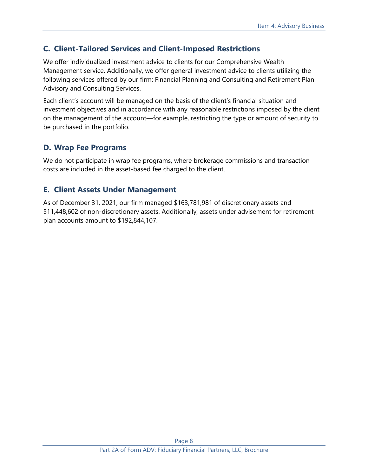# **C. Client-Tailored Services and Client-Imposed Restrictions**

We offer individualized investment advice to clients for our Comprehensive Wealth Management service. Additionally, we offer general investment advice to clients utilizing the following services offered by our firm: Financial Planning and Consulting and Retirement Plan Advisory and Consulting Services.

Each client's account will be managed on the basis of the client's financial situation and investment objectives and in accordance with any reasonable restrictions imposed by the client on the management of the account—for example, restricting the type or amount of security to be purchased in the portfolio.

# **D. Wrap Fee Programs**

We do not participate in wrap fee programs, where brokerage commissions and transaction costs are included in the asset-based fee charged to the client.

## **E. Client Assets Under Management**

As of December 31, 2021, our firm managed \$163,781,981 of discretionary assets and \$11,448,602 of non-discretionary assets. Additionally, assets under advisement for retirement plan accounts amount to \$192,844,107.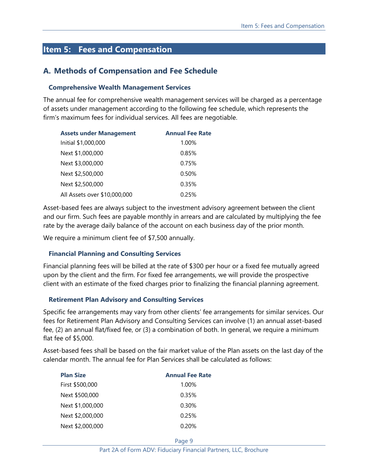# <span id="page-8-0"></span>**Item 5: Fees and Compensation**

### **A. Methods of Compensation and Fee Schedule**

#### **Comprehensive Wealth Management Services**

The annual fee for comprehensive wealth management services will be charged as a percentage of assets under management according to the following fee schedule, which represents the firm's maximum fees for individual services. All fees are negotiable.

| <b>Assets under Management</b> | <b>Annual Fee Rate</b> |
|--------------------------------|------------------------|
| Initial \$1,000,000            | 1.00%                  |
| Next \$1,000,000               | 0.85%                  |
| Next \$3,000,000               | 0.75%                  |
| Next \$2,500,000               | 0.50%                  |
| Next \$2,500,000               | 0.35%                  |
| All Assets over \$10,000,000   | 0.25%                  |

Asset-based fees are always subject to the investment advisory agreement between the client and our firm. Such fees are payable monthly in arrears and are calculated by multiplying the fee rate by the average daily balance of the account on each business day of the prior month.

We require a minimum client fee of \$7,500 annually.

#### **Financial Planning and Consulting Services**

Financial planning fees will be billed at the rate of \$300 per hour or a fixed fee mutually agreed upon by the client and the firm. For fixed fee arrangements, we will provide the prospective client with an estimate of the fixed charges prior to finalizing the financial planning agreement.

#### **Retirement Plan Advisory and Consulting Services**

Specific fee arrangements may vary from other clients' fee arrangements for similar services. Our fees for Retirement Plan Advisory and Consulting Services can involve (1) an annual asset-based fee, (2) an annual flat/fixed fee, or (3) a combination of both. In general, we require a minimum flat fee of \$5,000.

Asset-based fees shall be based on the fair market value of the Plan assets on the last day of the calendar month. The annual fee for Plan Services shall be calculated as follows:

| <b>Plan Size</b> | <b>Annual Fee Rate</b> |
|------------------|------------------------|
| First \$500,000  | 1.00%                  |
| Next \$500,000   | 0.35%                  |
| Next \$1,000,000 | 0.30%                  |
| Next \$2,000,000 | 0.25%                  |
| Next \$2,000,000 | 0.20%                  |

Page 9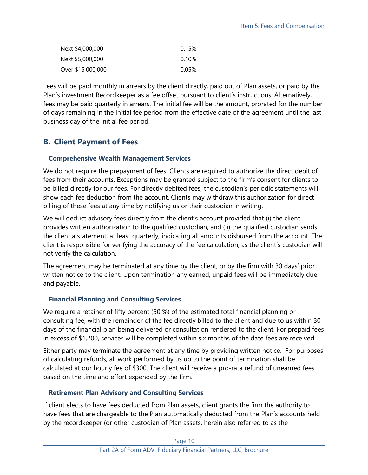| Next \$4,000,000  | 0.15% |
|-------------------|-------|
| Next \$5,000,000  | 0.10% |
| Over \$15,000,000 | 0.05% |

Fees will be paid monthly in arrears by the client directly, paid out of Plan assets, or paid by the Plan's investment Recordkeeper as a fee offset pursuant to client's instructions. Alternatively, fees may be paid quarterly in arrears. The initial fee will be the amount, prorated for the number of days remaining in the initial fee period from the effective date of the agreement until the last business day of the initial fee period.

# **B. Client Payment of Fees**

#### **Comprehensive Wealth Management Services**

We do not require the prepayment of fees. Clients are required to authorize the direct debit of fees from their accounts. Exceptions may be granted subject to the firm's consent for clients to be billed directly for our fees. For directly debited fees, the custodian's periodic statements will show each fee deduction from the account. Clients may withdraw this authorization for direct billing of these fees at any time by notifying us or their custodian in writing.

We will deduct advisory fees directly from the client's account provided that (i) the client provides written authorization to the qualified custodian, and (ii) the qualified custodian sends the client a statement, at least quarterly, indicating all amounts disbursed from the account. The client is responsible for verifying the accuracy of the fee calculation, as the client's custodian will not verify the calculation.

The agreement may be terminated at any time by the client, or by the firm with 30 days' prior written notice to the client. Upon termination any earned, unpaid fees will be immediately due and payable.

## **Financial Planning and Consulting Services**

We require a retainer of fifty percent (50 %) of the estimated total financial planning or consulting fee, with the remainder of the fee directly billed to the client and due to us within 30 days of the financial plan being delivered or consultation rendered to the client. For prepaid fees in excess of \$1,200, services will be completed within six months of the date fees are received.

Either party may terminate the agreement at any time by providing written notice. For purposes of calculating refunds, all work performed by us up to the point of termination shall be calculated at our hourly fee of \$300. The client will receive a pro-rata refund of unearned fees based on the time and effort expended by the firm.

## **Retirement Plan Advisory and Consulting Services**

If client elects to have fees deducted from Plan assets, client grants the firm the authority to have fees that are chargeable to the Plan automatically deducted from the Plan's accounts held by the recordkeeper (or other custodian of Plan assets, herein also referred to as the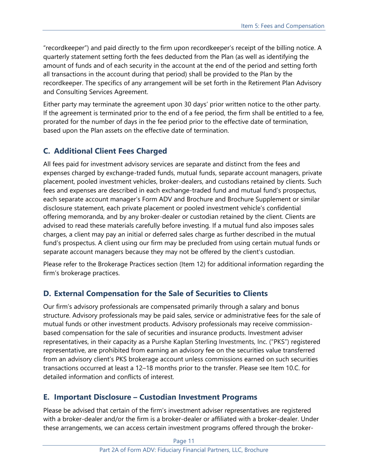"recordkeeper") and paid directly to the firm upon recordkeeper's receipt of the billing notice. A quarterly statement setting forth the fees deducted from the Plan (as well as identifying the amount of funds and of each security in the account at the end of the period and setting forth all transactions in the account during that period) shall be provided to the Plan by the recordkeeper. The specifics of any arrangement will be set forth in the Retirement Plan Advisory and Consulting Services Agreement.

Either party may terminate the agreement upon 30 days' prior written notice to the other party. If the agreement is terminated prior to the end of a fee period, the firm shall be entitled to a fee, prorated for the number of days in the fee period prior to the effective date of termination, based upon the Plan assets on the effective date of termination.

# **C. Additional Client Fees Charged**

All fees paid for investment advisory services are separate and distinct from the fees and expenses charged by exchange-traded funds, mutual funds, separate account managers, private placement, pooled investment vehicles, broker-dealers, and custodians retained by clients. Such fees and expenses are described in each exchange-traded fund and mutual fund's prospectus, each separate account manager's Form ADV and Brochure and Brochure Supplement or similar disclosure statement, each private placement or pooled investment vehicle's confidential offering memoranda, and by any broker-dealer or custodian retained by the client. Clients are advised to read these materials carefully before investing. If a mutual fund also imposes sales charges, a client may pay an initial or deferred sales charge as further described in the mutual fund's prospectus. A client using our firm may be precluded from using certain mutual funds or separate account managers because they may not be offered by the client's custodian.

Please refer to the Brokerage Practices section (Item 12) for additional information regarding the firm's brokerage practices.

## **D. External Compensation for the Sale of Securities to Clients**

Our firm's advisory professionals are compensated primarily through a salary and bonus structure. Advisory professionals may be paid sales, service or administrative fees for the sale of mutual funds or other investment products. Advisory professionals may receive commissionbased compensation for the sale of securities and insurance products. Investment adviser representatives, in their capacity as a Purshe Kaplan Sterling Investments, Inc. ("PKS") registered representative, are prohibited from earning an advisory fee on the securities value transferred from an advisory client's PKS brokerage account unless commissions earned on such securities transactions occurred at least a 12–18 months prior to the transfer. Please see Item 10.C. for detailed information and conflicts of interest.

## **E. Important Disclosure – Custodian Investment Programs**

Please be advised that certain of the firm's investment adviser representatives are registered with a broker-dealer and/or the firm is a broker-dealer or affiliated with a broker-dealer. Under these arrangements, we can access certain investment programs offered through the broker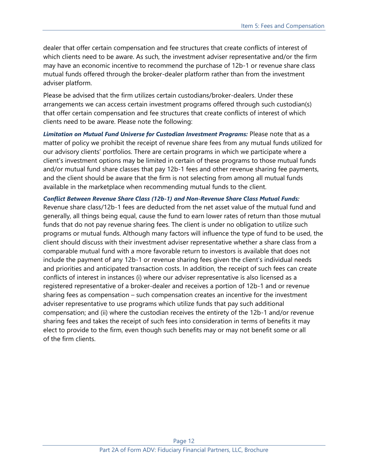dealer that offer certain compensation and fee structures that create conflicts of interest of which clients need to be aware. As such, the investment adviser representative and/or the firm may have an economic incentive to recommend the purchase of 12b-1 or revenue share class mutual funds offered through the broker-dealer platform rather than from the investment adviser platform.

Please be advised that the firm utilizes certain custodians/broker-dealers. Under these arrangements we can access certain investment programs offered through such custodian(s) that offer certain compensation and fee structures that create conflicts of interest of which clients need to be aware. Please note the following:

*Limitation on Mutual Fund Universe for Custodian Investment Programs:* Please note that as a matter of policy we prohibit the receipt of revenue share fees from any mutual funds utilized for our advisory clients' portfolios. There are certain programs in which we participate where a client's investment options may be limited in certain of these programs to those mutual funds and/or mutual fund share classes that pay 12b-1 fees and other revenue sharing fee payments, and the client should be aware that the firm is not selecting from among all mutual funds available in the marketplace when recommending mutual funds to the client.

*Conflict Between Revenue Share Class (12b-1) and Non-Revenue Share Class Mutual Funds:* Revenue share class/12b-1 fees are deducted from the net asset value of the mutual fund and generally, all things being equal, cause the fund to earn lower rates of return than those mutual funds that do not pay revenue sharing fees. The client is under no obligation to utilize such programs or mutual funds. Although many factors will influence the type of fund to be used, the client should discuss with their investment adviser representative whether a share class from a comparable mutual fund with a more favorable return to investors is available that does not include the payment of any 12b-1 or revenue sharing fees given the client's individual needs and priorities and anticipated transaction costs. In addition, the receipt of such fees can create conflicts of interest in instances (i) where our adviser representative is also licensed as a registered representative of a broker-dealer and receives a portion of 12b-1 and or revenue sharing fees as compensation – such compensation creates an incentive for the investment adviser representative to use programs which utilize funds that pay such additional compensation; and (ii) where the custodian receives the entirety of the 12b-1 and/or revenue sharing fees and takes the receipt of such fees into consideration in terms of benefits it may elect to provide to the firm, even though such benefits may or may not benefit some or all of the firm clients.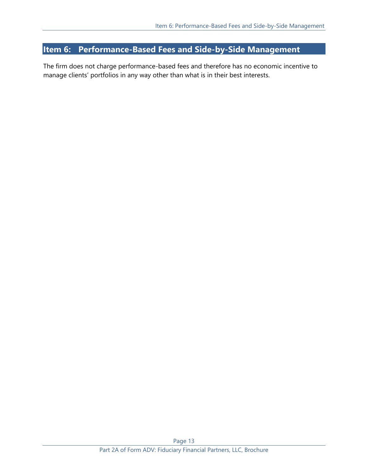# <span id="page-12-0"></span>**Item 6: Performance-Based Fees and Side-by-Side Management**

The firm does not charge performance-based fees and therefore has no economic incentive to manage clients' portfolios in any way other than what is in their best interests.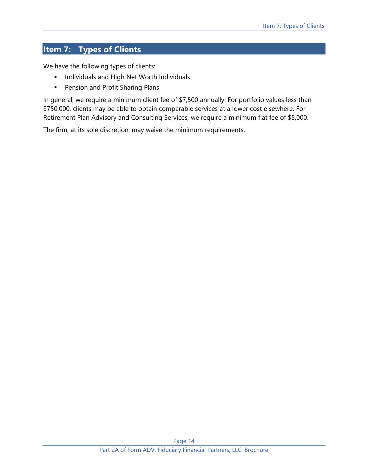# <span id="page-13-0"></span>**Item 7: Types of Clients**

We have the following types of clients:

- **■** Individuals and High Net Worth Individuals
- Pension and Profit Sharing Plans

In general, we require a minimum client fee of \$7,500 annually. For portfolio values less than \$750,000, clients may be able to obtain comparable services at a lower cost elsewhere. For Retirement Plan Advisory and Consulting Services, we require a minimum flat fee of \$5,000.

The firm, at its sole discretion, may waive the minimum requirements.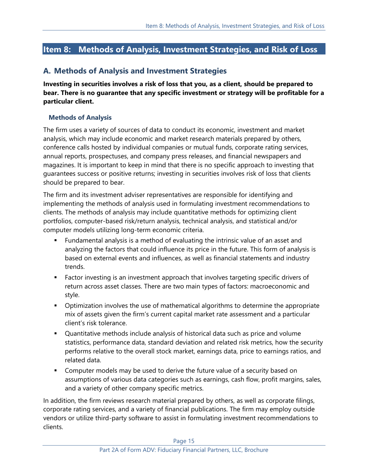# <span id="page-14-0"></span>**Item 8: Methods of Analysis, Investment Strategies, and Risk of Loss**

## **A. Methods of Analysis and Investment Strategies**

**Investing in securities involves a risk of loss that you, as a client, should be prepared to bear. There is no guarantee that any specific investment or strategy will be profitable for a particular client.**

#### **Methods of Analysis**

The firm uses a variety of sources of data to conduct its economic, investment and market analysis, which may include economic and market research materials prepared by others, conference calls hosted by individual companies or mutual funds, corporate rating services, annual reports, prospectuses, and company press releases, and financial newspapers and magazines. It is important to keep in mind that there is no specific approach to investing that guarantees success or positive returns; investing in securities involves risk of loss that clients should be prepared to bear.

The firm and its investment adviser representatives are responsible for identifying and implementing the methods of analysis used in formulating investment recommendations to clients. The methods of analysis may include quantitative methods for optimizing client portfolios, computer-based risk/return analysis, technical analysis, and statistical and/or computer models utilizing long-term economic criteria.

- Fundamental analysis is a method of evaluating the intrinsic value of an asset and analyzing the factors that could influence its price in the future. This form of analysis is based on external events and influences, as well as financial statements and industry trends.
- Factor investing is an investment approach that involves targeting specific drivers of return across asset classes. There are two main types of factors: macroeconomic and style.
- **•** Optimization involves the use of mathematical algorithms to determine the appropriate mix of assets given the firm's current capital market rate assessment and a particular client's risk tolerance.
- Quantitative methods include analysis of historical data such as price and volume statistics, performance data, standard deviation and related risk metrics, how the security performs relative to the overall stock market, earnings data, price to earnings ratios, and related data.
- Computer models may be used to derive the future value of a security based on assumptions of various data categories such as earnings, cash flow, profit margins, sales, and a variety of other company specific metrics.

In addition, the firm reviews research material prepared by others, as well as corporate filings, corporate rating services, and a variety of financial publications. The firm may employ outside vendors or utilize third-party software to assist in formulating investment recommendations to clients.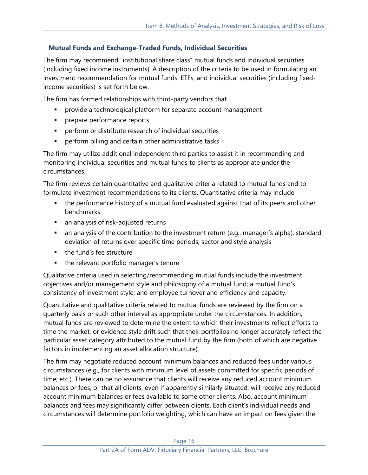### **Mutual Funds and Exchange-Traded Funds, Individual Securities**

The firm may recommend "institutional share class" mutual funds and individual securities (including fixed income instruments). A description of the criteria to be used in formulating an investment recommendation for mutual funds, ETFs, and individual securities (including fixedincome securities) is set forth below.

The firm has formed relationships with third-party vendors that

- provide a technological platform for separate account management
- **·** prepare performance reports
- perform or distribute research of individual securities
- perform billing and certain other administrative tasks

The firm may utilize additional independent third parties to assist it in recommending and monitoring individual securities and mutual funds to clients as appropriate under the circumstances.

The firm reviews certain quantitative and qualitative criteria related to mutual funds and to formulate investment recommendations to its clients. Quantitative criteria may include

- the performance history of a mutual fund evaluated against that of its peers and other benchmarks
- an analysis of risk-adjusted returns
- an analysis of the contribution to the investment return (e.g., manager's alpha), standard deviation of returns over specific time periods, sector and style analysis
- the fund's fee structure
- the relevant portfolio manager's tenure

Qualitative criteria used in selecting/recommending mutual funds include the investment objectives and/or management style and philosophy of a mutual fund; a mutual fund's consistency of investment style; and employee turnover and efficiency and capacity.

Quantitative and qualitative criteria related to mutual funds are reviewed by the firm on a quarterly basis or such other interval as appropriate under the circumstances. In addition, mutual funds are reviewed to determine the extent to which their investments reflect efforts to time the market, or evidence style drift such that their portfolios no longer accurately reflect the particular asset category attributed to the mutual fund by the firm (both of which are negative factors in implementing an asset allocation structure).

The firm may negotiate reduced account minimum balances and reduced fees under various circumstances (e.g., for clients with minimum level of assets committed for specific periods of time, etc.). There can be no assurance that clients will receive any reduced account minimum balances or fees, or that all clients, even if apparently similarly situated, will receive any reduced account minimum balances or fees available to some other clients. Also, account minimum balances and fees may significantly differ between clients. Each client's individual needs and circumstances will determine portfolio weighting, which can have an impact on fees given the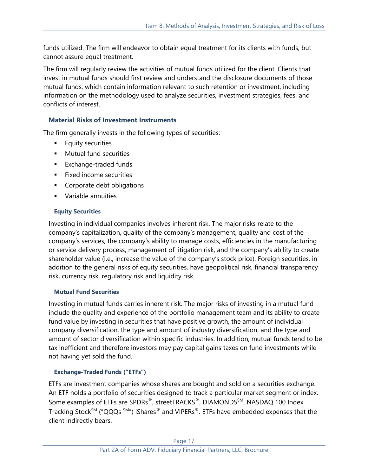funds utilized. The firm will endeavor to obtain equal treatment for its clients with funds, but cannot assure equal treatment.

The firm will regularly review the activities of mutual funds utilized for the client. Clients that invest in mutual funds should first review and understand the disclosure documents of those mutual funds, which contain information relevant to such retention or investment, including information on the methodology used to analyze securities, investment strategies, fees, and conflicts of interest.

### **Material Risks of Investment Instruments**

The firm generally invests in the following types of securities:

- **Equity securities**
- Mutual fund securities
- Exchange-traded funds
- **EXECU income securities**
- Corporate debt obligations
- Variable annuities

#### **Equity Securities**

Investing in individual companies involves inherent risk. The major risks relate to the company's capitalization, quality of the company's management, quality and cost of the company's services, the company's ability to manage costs, efficiencies in the manufacturing or service delivery process, management of litigation risk, and the company's ability to create shareholder value (i.e., increase the value of the company's stock price). Foreign securities, in addition to the general risks of equity securities, have geopolitical risk, financial transparency risk, currency risk, regulatory risk and liquidity risk.

#### **Mutual Fund Securities**

Investing in mutual funds carries inherent risk. The major risks of investing in a mutual fund include the quality and experience of the portfolio management team and its ability to create fund value by investing in securities that have positive growth, the amount of individual company diversification, the type and amount of industry diversification, and the type and amount of sector diversification within specific industries. In addition, mutual funds tend to be tax inefficient and therefore investors may pay capital gains taxes on fund investments while not having yet sold the fund.

## **Exchange-Traded Funds ("ETFs")**

ETFs are investment companies whose shares are bought and sold on a securities exchange. An ETF holds a portfolio of securities designed to track a particular market segment or index. Some examples of ETFs are SPDRs®, streetTRACKS®, DIAMONDSSM, NASDAQ 100 Index Tracking Stock<sup>SM</sup> ("QQQs <sup>SM</sup>") iShares<sup>®</sup> and VIPERs<sup>®</sup>. ETFs have embedded expenses that the client indirectly bears.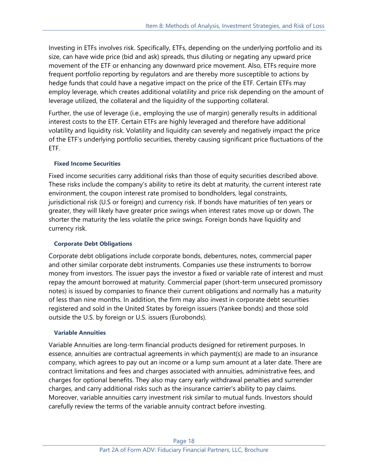Investing in ETFs involves risk. Specifically, ETFs, depending on the underlying portfolio and its size, can have wide price (bid and ask) spreads, thus diluting or negating any upward price movement of the ETF or enhancing any downward price movement. Also, ETFs require more frequent portfolio reporting by regulators and are thereby more susceptible to actions by hedge funds that could have a negative impact on the price of the ETF. Certain ETFs may employ leverage, which creates additional volatility and price risk depending on the amount of leverage utilized, the collateral and the liquidity of the supporting collateral.

Further, the use of leverage (i.e., employing the use of margin) generally results in additional interest costs to the ETF. Certain ETFs are highly leveraged and therefore have additional volatility and liquidity risk. Volatility and liquidity can severely and negatively impact the price of the ETF's underlying portfolio securities, thereby causing significant price fluctuations of the ETF.

#### **Fixed Income Securities**

Fixed income securities carry additional risks than those of equity securities described above. These risks include the company's ability to retire its debt at maturity, the current interest rate environment, the coupon interest rate promised to bondholders, legal constraints, jurisdictional risk (U.S or foreign) and currency risk. If bonds have maturities of ten years or greater, they will likely have greater price swings when interest rates move up or down. The shorter the maturity the less volatile the price swings. Foreign bonds have liquidity and currency risk.

#### **Corporate Debt Obligations**

Corporate debt obligations include corporate bonds, debentures, notes, commercial paper and other similar corporate debt instruments. Companies use these instruments to borrow money from investors. The issuer pays the investor a fixed or variable rate of interest and must repay the amount borrowed at maturity. Commercial paper (short-term unsecured promissory notes) is issued by companies to finance their current obligations and normally has a maturity of less than nine months. In addition, the firm may also invest in corporate debt securities registered and sold in the United States by foreign issuers (Yankee bonds) and those sold outside the U.S. by foreign or U.S. issuers (Eurobonds).

#### **Variable Annuities**

Variable Annuities are long-term financial products designed for retirement purposes. In essence, annuities are contractual agreements in which payment(s) are made to an insurance company, which agrees to pay out an income or a lump sum amount at a later date. There are contract limitations and fees and charges associated with annuities, administrative fees, and charges for optional benefits. They also may carry early withdrawal penalties and surrender charges, and carry additional risks such as the insurance carrier's ability to pay claims. Moreover, variable annuities carry investment risk similar to mutual funds. Investors should carefully review the terms of the variable annuity contract before investing.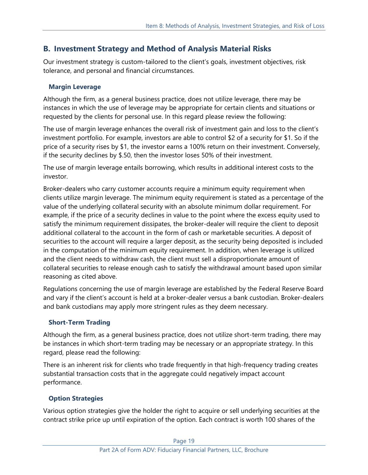# **B. Investment Strategy and Method of Analysis Material Risks**

Our investment strategy is custom-tailored to the client's goals, investment objectives, risk tolerance, and personal and financial circumstances.

### **Margin Leverage**

Although the firm, as a general business practice, does not utilize leverage, there may be instances in which the use of leverage may be appropriate for certain clients and situations or requested by the clients for personal use. In this regard please review the following:

The use of margin leverage enhances the overall risk of investment gain and loss to the client's investment portfolio. For example, investors are able to control \$2 of a security for \$1. So if the price of a security rises by \$1, the investor earns a 100% return on their investment. Conversely, if the security declines by \$.50, then the investor loses 50% of their investment.

The use of margin leverage entails borrowing, which results in additional interest costs to the investor.

Broker-dealers who carry customer accounts require a minimum equity requirement when clients utilize margin leverage. The minimum equity requirement is stated as a percentage of the value of the underlying collateral security with an absolute minimum dollar requirement. For example, if the price of a security declines in value to the point where the excess equity used to satisfy the minimum requirement dissipates, the broker-dealer will require the client to deposit additional collateral to the account in the form of cash or marketable securities. A deposit of securities to the account will require a larger deposit, as the security being deposited is included in the computation of the minimum equity requirement. In addition, when leverage is utilized and the client needs to withdraw cash, the client must sell a disproportionate amount of collateral securities to release enough cash to satisfy the withdrawal amount based upon similar reasoning as cited above.

Regulations concerning the use of margin leverage are established by the Federal Reserve Board and vary if the client's account is held at a broker-dealer versus a bank custodian. Broker-dealers and bank custodians may apply more stringent rules as they deem necessary.

## **Short-Term Trading**

Although the firm, as a general business practice, does not utilize short-term trading, there may be instances in which short-term trading may be necessary or an appropriate strategy. In this regard, please read the following:

There is an inherent risk for clients who trade frequently in that high-frequency trading creates substantial transaction costs that in the aggregate could negatively impact account performance.

## **Option Strategies**

Various option strategies give the holder the right to acquire or sell underlying securities at the contract strike price up until expiration of the option. Each contract is worth 100 shares of the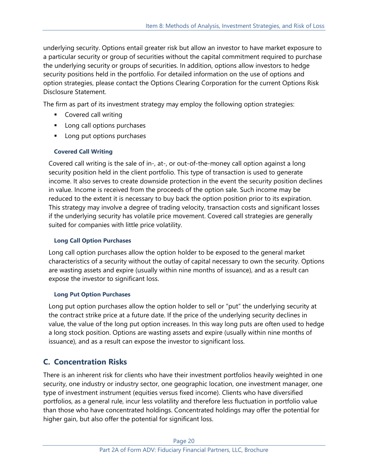underlying security. Options entail greater risk but allow an investor to have market exposure to a particular security or group of securities without the capital commitment required to purchase the underlying security or groups of securities. In addition, options allow investors to hedge security positions held in the portfolio. For detailed information on the use of options and option strategies, please contact the Options Clearing Corporation for the current Options Risk Disclosure Statement.

The firm as part of its investment strategy may employ the following option strategies:

- Covered call writing
- Long call options purchases
- Long put options purchases

### **Covered Call Writing**

Covered call writing is the sale of in-, at-, or out-of-the-money call option against a long security position held in the client portfolio. This type of transaction is used to generate income. It also serves to create downside protection in the event the security position declines in value. Income is received from the proceeds of the option sale. Such income may be reduced to the extent it is necessary to buy back the option position prior to its expiration. This strategy may involve a degree of trading velocity, transaction costs and significant losses if the underlying security has volatile price movement. Covered call strategies are generally suited for companies with little price volatility.

### **Long Call Option Purchases**

Long call option purchases allow the option holder to be exposed to the general market characteristics of a security without the outlay of capital necessary to own the security. Options are wasting assets and expire (usually within nine months of issuance), and as a result can expose the investor to significant loss.

#### **Long Put Option Purchases**

Long put option purchases allow the option holder to sell or "put" the underlying security at the contract strike price at a future date. If the price of the underlying security declines in value, the value of the long put option increases. In this way long puts are often used to hedge a long stock position. Options are wasting assets and expire (usually within nine months of issuance), and as a result can expose the investor to significant loss.

# **C. Concentration Risks**

There is an inherent risk for clients who have their investment portfolios heavily weighted in one security, one industry or industry sector, one geographic location, one investment manager, one type of investment instrument (equities versus fixed income). Clients who have diversified portfolios, as a general rule, incur less volatility and therefore less fluctuation in portfolio value than those who have concentrated holdings. Concentrated holdings may offer the potential for higher gain, but also offer the potential for significant loss.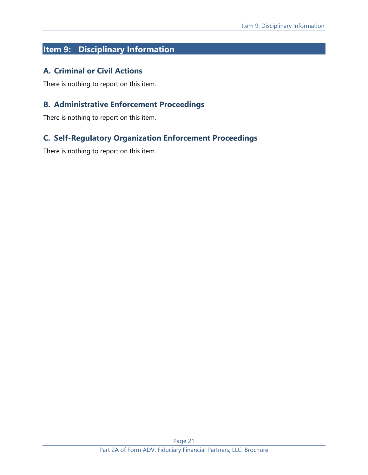# <span id="page-20-0"></span>**Item 9: Disciplinary Information**

## **A. Criminal or Civil Actions**

There is nothing to report on this item.

## **B. Administrative Enforcement Proceedings**

There is nothing to report on this item.

# **C. Self-Regulatory Organization Enforcement Proceedings**

There is nothing to report on this item.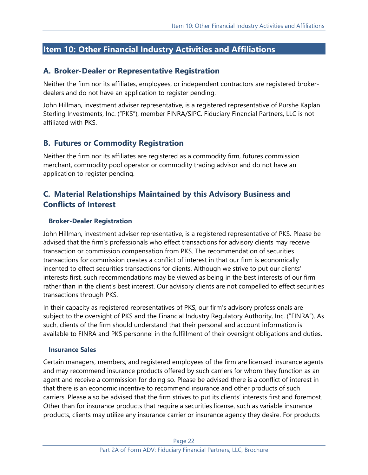# <span id="page-21-0"></span>**Item 10: Other Financial Industry Activities and Affiliations**

### **A. Broker-Dealer or Representative Registration**

Neither the firm nor its affiliates, employees, or independent contractors are registered brokerdealers and do not have an application to register pending.

John Hillman, investment adviser representative, is a registered representative of Purshe Kaplan Sterling Investments, Inc. ("PKS"), member FINRA/SIPC. Fiduciary Financial Partners, LLC is not affiliated with PKS.

## **B. Futures or Commodity Registration**

Neither the firm nor its affiliates are registered as a commodity firm, futures commission merchant, commodity pool operator or commodity trading advisor and do not have an application to register pending.

# **C. Material Relationships Maintained by this Advisory Business and Conflicts of Interest**

#### **Broker-Dealer Registration**

John Hillman, investment adviser representative, is a registered representative of PKS. Please be advised that the firm's professionals who effect transactions for advisory clients may receive transaction or commission compensation from PKS. The recommendation of securities transactions for commission creates a conflict of interest in that our firm is economically incented to effect securities transactions for clients. Although we strive to put our clients' interests first, such recommendations may be viewed as being in the best interests of our firm rather than in the client's best interest. Our advisory clients are not compelled to effect securities transactions through PKS.

In their capacity as registered representatives of PKS, our firm's advisory professionals are subject to the oversight of PKS and the Financial Industry Regulatory Authority, Inc. ("FINRA"). As such, clients of the firm should understand that their personal and account information is available to FINRA and PKS personnel in the fulfillment of their oversight obligations and duties.

#### **Insurance Sales**

Certain managers, members, and registered employees of the firm are licensed insurance agents and may recommend insurance products offered by such carriers for whom they function as an agent and receive a commission for doing so. Please be advised there is a conflict of interest in that there is an economic incentive to recommend insurance and other products of such carriers. Please also be advised that the firm strives to put its clients' interests first and foremost. Other than for insurance products that require a securities license, such as variable insurance products, clients may utilize any insurance carrier or insurance agency they desire. For products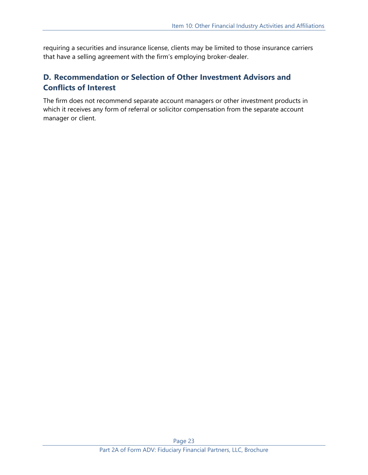requiring a securities and insurance license, clients may be limited to those insurance carriers that have a selling agreement with the firm's employing broker-dealer.

# **D. Recommendation or Selection of Other Investment Advisors and Conflicts of Interest**

The firm does not recommend separate account managers or other investment products in which it receives any form of referral or solicitor compensation from the separate account manager or client.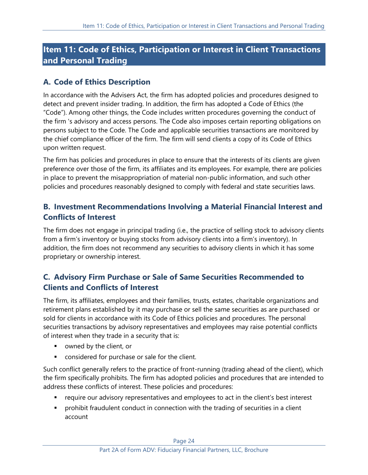# <span id="page-23-0"></span>**Item 11: Code of Ethics, Participation or Interest in Client Transactions and Personal Trading**

# **A. Code of Ethics Description**

In accordance with the Advisers Act, the firm has adopted policies and procedures designed to detect and prevent insider trading. In addition, the firm has adopted a Code of Ethics (the "Code"). Among other things, the Code includes written procedures governing the conduct of the firm 's advisory and access persons. The Code also imposes certain reporting obligations on persons subject to the Code. The Code and applicable securities transactions are monitored by the chief compliance officer of the firm. The firm will send clients a copy of its Code of Ethics upon written request.

The firm has policies and procedures in place to ensure that the interests of its clients are given preference over those of the firm, its affiliates and its employees. For example, there are policies in place to prevent the misappropriation of material non-public information, and such other policies and procedures reasonably designed to comply with federal and state securities laws.

# **B. Investment Recommendations Involving a Material Financial Interest and Conflicts of Interest**

The firm does not engage in principal trading (i.e., the practice of selling stock to advisory clients from a firm's inventory or buying stocks from advisory clients into a firm's inventory). In addition, the firm does not recommend any securities to advisory clients in which it has some proprietary or ownership interest.

# **C. Advisory Firm Purchase or Sale of Same Securities Recommended to Clients and Conflicts of Interest**

The firm, its affiliates, employees and their families, trusts, estates, charitable organizations and retirement plans established by it may purchase or sell the same securities as are purchased or sold for clients in accordance with its Code of Ethics policies and procedures. The personal securities transactions by advisory representatives and employees may raise potential conflicts of interest when they trade in a security that is:

- owned by the client, or
- considered for purchase or sale for the client.

Such conflict generally refers to the practice of front-running (trading ahead of the client), which the firm specifically prohibits. The firm has adopted policies and procedures that are intended to address these conflicts of interest. These policies and procedures:

- require our advisory representatives and employees to act in the client's best interest
- prohibit fraudulent conduct in connection with the trading of securities in a client account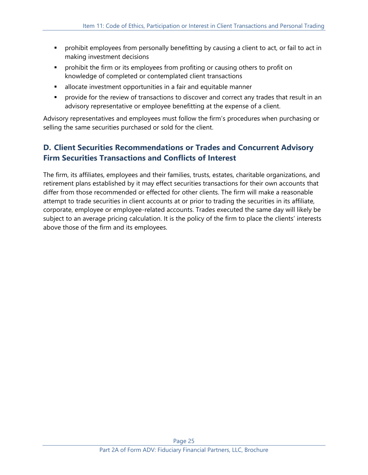- **•** prohibit employees from personally benefitting by causing a client to act, or fail to act in making investment decisions
- **•** prohibit the firm or its employees from profiting or causing others to profit on knowledge of completed or contemplated client transactions
- **EXEDEE** allocate investment opportunities in a fair and equitable manner
- **•** provide for the review of transactions to discover and correct any trades that result in an advisory representative or employee benefitting at the expense of a client.

Advisory representatives and employees must follow the firm's procedures when purchasing or selling the same securities purchased or sold for the client.

# **D. Client Securities Recommendations or Trades and Concurrent Advisory Firm Securities Transactions and Conflicts of Interest**

The firm, its affiliates, employees and their families, trusts, estates, charitable organizations, and retirement plans established by it may effect securities transactions for their own accounts that differ from those recommended or effected for other clients. The firm will make a reasonable attempt to trade securities in client accounts at or prior to trading the securities in its affiliate, corporate, employee or employee-related accounts. Trades executed the same day will likely be subject to an average pricing calculation. It is the policy of the firm to place the clients' interests above those of the firm and its employees.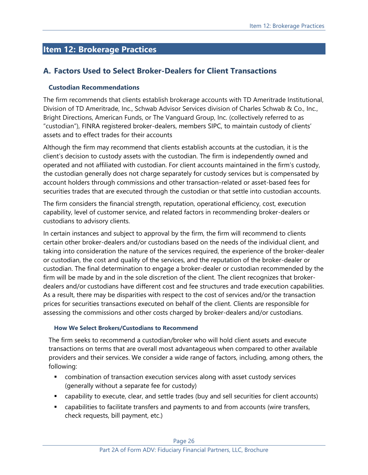# <span id="page-25-0"></span>**Item 12: Brokerage Practices**

## **A. Factors Used to Select Broker-Dealers for Client Transactions**

#### **Custodian Recommendations**

The firm recommends that clients establish brokerage accounts with TD Ameritrade Institutional, Division of TD Ameritrade, Inc., Schwab Advisor Services division of Charles Schwab & Co., Inc., Bright Directions, American Funds, or The Vanguard Group, Inc. (collectively referred to as "custodian"), FINRA registered broker-dealers, members SIPC, to maintain custody of clients' assets and to effect trades for their accounts

Although the firm may recommend that clients establish accounts at the custodian, it is the client's decision to custody assets with the custodian. The firm is independently owned and operated and not affiliated with custodian. For client accounts maintained in the firm's custody, the custodian generally does not charge separately for custody services but is compensated by account holders through commissions and other transaction-related or asset-based fees for securities trades that are executed through the custodian or that settle into custodian accounts.

The firm considers the financial strength, reputation, operational efficiency, cost, execution capability, level of customer service, and related factors in recommending broker-dealers or custodians to advisory clients.

In certain instances and subject to approval by the firm, the firm will recommend to clients certain other broker-dealers and/or custodians based on the needs of the individual client, and taking into consideration the nature of the services required, the experience of the broker-dealer or custodian, the cost and quality of the services, and the reputation of the broker-dealer or custodian. The final determination to engage a broker-dealer or custodian recommended by the firm will be made by and in the sole discretion of the client. The client recognizes that brokerdealers and/or custodians have different cost and fee structures and trade execution capabilities. As a result, there may be disparities with respect to the cost of services and/or the transaction prices for securities transactions executed on behalf of the client. Clients are responsible for assessing the commissions and other costs charged by broker-dealers and/or custodians.

#### **How We Select Brokers/Custodians to Recommend**

The firm seeks to recommend a custodian/broker who will hold client assets and execute transactions on terms that are overall most advantageous when compared to other available providers and their services. We consider a wide range of factors, including, among others, the following:

- combination of transaction execution services along with asset custody services (generally without a separate fee for custody)
- capability to execute, clear, and settle trades (buy and sell securities for client accounts)
- capabilities to facilitate transfers and payments to and from accounts (wire transfers, check requests, bill payment, etc.)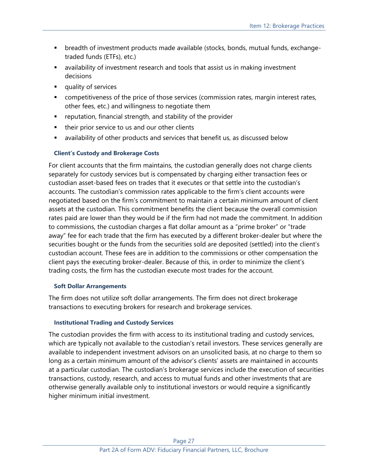- breadth of investment products made available (stocks, bonds, mutual funds, exchangetraded funds (ETFs), etc.)
- availability of investment research and tools that assist us in making investment decisions
- quality of services
- competitiveness of the price of those services (commission rates, margin interest rates, other fees, etc.) and willingness to negotiate them
- reputation, financial strength, and stability of the provider
- their prior service to us and our other clients
- availability of other products and services that benefit us, as discussed below

#### **Client's Custody and Brokerage Costs**

For client accounts that the firm maintains, the custodian generally does not charge clients separately for custody services but is compensated by charging either transaction fees or custodian asset-based fees on trades that it executes or that settle into the custodian's accounts. The custodian's commission rates applicable to the firm's client accounts were negotiated based on the firm's commitment to maintain a certain minimum amount of client assets at the custodian. This commitment benefits the client because the overall commission rates paid are lower than they would be if the firm had not made the commitment. In addition to commissions, the custodian charges a flat dollar amount as a "prime broker" or "trade away" fee for each trade that the firm has executed by a different broker-dealer but where the securities bought or the funds from the securities sold are deposited (settled) into the client's custodian account. These fees are in addition to the commissions or other compensation the client pays the executing broker-dealer. Because of this, in order to minimize the client's trading costs, the firm has the custodian execute most trades for the account.

#### **Soft Dollar Arrangements**

The firm does not utilize soft dollar arrangements. The firm does not direct brokerage transactions to executing brokers for research and brokerage services.

#### **Institutional Trading and Custody Services**

The custodian provides the firm with access to its institutional trading and custody services, which are typically not available to the custodian's retail investors. These services generally are available to independent investment advisors on an unsolicited basis, at no charge to them so long as a certain minimum amount of the advisor's clients' assets are maintained in accounts at a particular custodian. The custodian's brokerage services include the execution of securities transactions, custody, research, and access to mutual funds and other investments that are otherwise generally available only to institutional investors or would require a significantly higher minimum initial investment.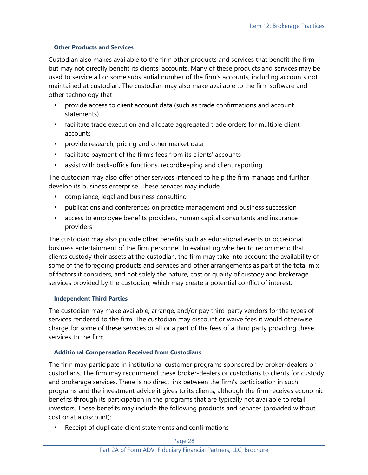#### **Other Products and Services**

Custodian also makes available to the firm other products and services that benefit the firm but may not directly benefit its clients' accounts. Many of these products and services may be used to service all or some substantial number of the firm's accounts, including accounts not maintained at custodian. The custodian may also make available to the firm software and other technology that

- **•** provide access to client account data (such as trade confirmations and account statements)
- facilitate trade execution and allocate aggregated trade orders for multiple client accounts
- **•** provide research, pricing and other market data
- facilitate payment of the firm's fees from its clients' accounts
- **EXEC** assist with back-office functions, recordkeeping and client reporting

The custodian may also offer other services intended to help the firm manage and further develop its business enterprise. These services may include

- compliance, legal and business consulting
- **•** publications and conferences on practice management and business succession
- access to employee benefits providers, human capital consultants and insurance providers

The custodian may also provide other benefits such as educational events or occasional business entertainment of the firm personnel. In evaluating whether to recommend that clients custody their assets at the custodian, the firm may take into account the availability of some of the foregoing products and services and other arrangements as part of the total mix of factors it considers, and not solely the nature, cost or quality of custody and brokerage services provided by the custodian, which may create a potential conflict of interest.

#### **Independent Third Parties**

The custodian may make available, arrange, and/or pay third-party vendors for the types of services rendered to the firm. The custodian may discount or waive fees it would otherwise charge for some of these services or all or a part of the fees of a third party providing these services to the firm.

#### **Additional Compensation Received from Custodians**

The firm may participate in institutional customer programs sponsored by broker-dealers or custodians. The firm may recommend these broker-dealers or custodians to clients for custody and brokerage services. There is no direct link between the firm's participation in such programs and the investment advice it gives to its clients, although the firm receives economic benefits through its participation in the programs that are typically not available to retail investors. These benefits may include the following products and services (provided without cost or at a discount):

Receipt of duplicate client statements and confirmations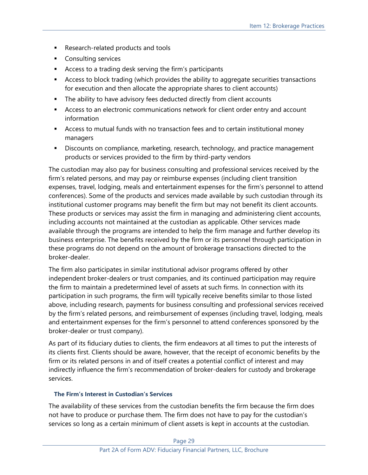- Research-related products and tools
- Consulting services
- Access to a trading desk serving the firm's participants
- Access to block trading (which provides the ability to aggregate securities transactions for execution and then allocate the appropriate shares to client accounts)
- **•** The ability to have advisory fees deducted directly from client accounts
- **EXEC** Access to an electronic communications network for client order entry and account information
- Access to mutual funds with no transaction fees and to certain institutional money managers
- **EXP** Discounts on compliance, marketing, research, technology, and practice management products or services provided to the firm by third-party vendors

The custodian may also pay for business consulting and professional services received by the firm's related persons, and may pay or reimburse expenses (including client transition expenses, travel, lodging, meals and entertainment expenses for the firm's personnel to attend conferences). Some of the products and services made available by such custodian through its institutional customer programs may benefit the firm but may not benefit its client accounts. These products or services may assist the firm in managing and administering client accounts, including accounts not maintained at the custodian as applicable. Other services made available through the programs are intended to help the firm manage and further develop its business enterprise. The benefits received by the firm or its personnel through participation in these programs do not depend on the amount of brokerage transactions directed to the broker-dealer.

The firm also participates in similar institutional advisor programs offered by other independent broker-dealers or trust companies, and its continued participation may require the firm to maintain a predetermined level of assets at such firms. In connection with its participation in such programs, the firm will typically receive benefits similar to those listed above, including research, payments for business consulting and professional services received by the firm's related persons, and reimbursement of expenses (including travel, lodging, meals and entertainment expenses for the firm's personnel to attend conferences sponsored by the broker-dealer or trust company).

As part of its fiduciary duties to clients, the firm endeavors at all times to put the interests of its clients first. Clients should be aware, however, that the receipt of economic benefits by the firm or its related persons in and of itself creates a potential conflict of interest and may indirectly influence the firm's recommendation of broker-dealers for custody and brokerage services.

#### **The Firm's Interest in Custodian's Services**

The availability of these services from the custodian benefits the firm because the firm does not have to produce or purchase them. The firm does not have to pay for the custodian's services so long as a certain minimum of client assets is kept in accounts at the custodian.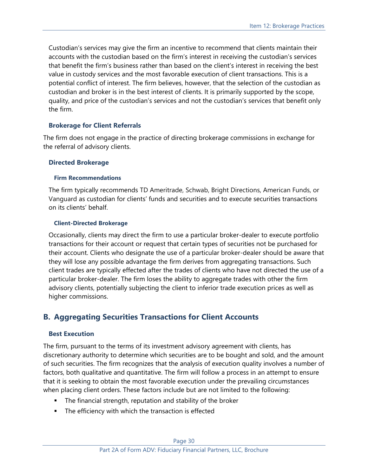Custodian's services may give the firm an incentive to recommend that clients maintain their accounts with the custodian based on the firm's interest in receiving the custodian's services that benefit the firm's business rather than based on the client's interest in receiving the best value in custody services and the most favorable execution of client transactions. This is a potential conflict of interest. The firm believes, however, that the selection of the custodian as custodian and broker is in the best interest of clients. It is primarily supported by the scope, quality, and price of the custodian's services and not the custodian's services that benefit only the firm.

#### **Brokerage for Client Referrals**

The firm does not engage in the practice of directing brokerage commissions in exchange for the referral of advisory clients.

#### **Directed Brokerage**

#### **Firm Recommendations**

The firm typically recommends TD Ameritrade, Schwab, Bright Directions, American Funds, or Vanguard as custodian for clients' funds and securities and to execute securities transactions on its clients' behalf.

#### **Client-Directed Brokerage**

Occasionally, clients may direct the firm to use a particular broker-dealer to execute portfolio transactions for their account or request that certain types of securities not be purchased for their account. Clients who designate the use of a particular broker-dealer should be aware that they will lose any possible advantage the firm derives from aggregating transactions. Such client trades are typically effected after the trades of clients who have not directed the use of a particular broker-dealer. The firm loses the ability to aggregate trades with other the firm advisory clients, potentially subjecting the client to inferior trade execution prices as well as higher commissions.

## **B. Aggregating Securities Transactions for Client Accounts**

#### **Best Execution**

The firm, pursuant to the terms of its investment advisory agreement with clients, has discretionary authority to determine which securities are to be bought and sold, and the amount of such securities. The firm recognizes that the analysis of execution quality involves a number of factors, both qualitative and quantitative. The firm will follow a process in an attempt to ensure that it is seeking to obtain the most favorable execution under the prevailing circumstances when placing client orders. These factors include but are not limited to the following:

- The financial strength, reputation and stability of the broker
- The efficiency with which the transaction is effected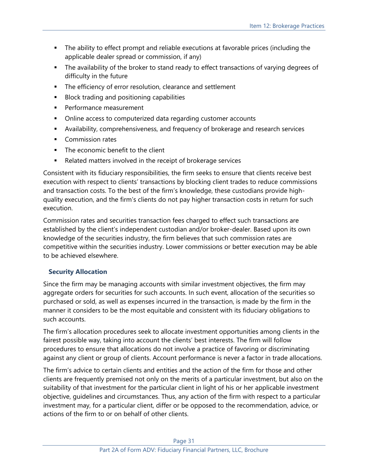- **•** The ability to effect prompt and reliable executions at favorable prices (including the applicable dealer spread or commission, if any)
- **The availability of the broker to stand ready to effect transactions of varying degrees of** difficulty in the future
- The efficiency of error resolution, clearance and settlement
- Block trading and positioning capabilities
- **•** Performance measurement
- Online access to computerized data regarding customer accounts
- Availability, comprehensiveness, and frequency of brokerage and research services
- Commission rates
- The economic benefit to the client
- Related matters involved in the receipt of brokerage services

Consistent with its fiduciary responsibilities, the firm seeks to ensure that clients receive best execution with respect to clients' transactions by blocking client trades to reduce commissions and transaction costs. To the best of the firm's knowledge, these custodians provide highquality execution, and the firm's clients do not pay higher transaction costs in return for such execution.

Commission rates and securities transaction fees charged to effect such transactions are established by the client's independent custodian and/or broker-dealer. Based upon its own knowledge of the securities industry, the firm believes that such commission rates are competitive within the securities industry. Lower commissions or better execution may be able to be achieved elsewhere.

#### **Security Allocation**

Since the firm may be managing accounts with similar investment objectives, the firm may aggregate orders for securities for such accounts. In such event, allocation of the securities so purchased or sold, as well as expenses incurred in the transaction, is made by the firm in the manner it considers to be the most equitable and consistent with its fiduciary obligations to such accounts.

The firm's allocation procedures seek to allocate investment opportunities among clients in the fairest possible way, taking into account the clients' best interests. The firm will follow procedures to ensure that allocations do not involve a practice of favoring or discriminating against any client or group of clients. Account performance is never a factor in trade allocations.

The firm's advice to certain clients and entities and the action of the firm for those and other clients are frequently premised not only on the merits of a particular investment, but also on the suitability of that investment for the particular client in light of his or her applicable investment objective, guidelines and circumstances. Thus, any action of the firm with respect to a particular investment may, for a particular client, differ or be opposed to the recommendation, advice, or actions of the firm to or on behalf of other clients.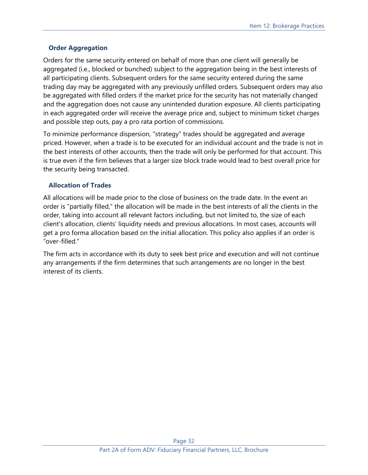### **Order Aggregation**

Orders for the same security entered on behalf of more than one client will generally be aggregated (i.e., blocked or bunched) subject to the aggregation being in the best interests of all participating clients. Subsequent orders for the same security entered during the same trading day may be aggregated with any previously unfilled orders. Subsequent orders may also be aggregated with filled orders if the market price for the security has not materially changed and the aggregation does not cause any unintended duration exposure. All clients participating in each aggregated order will receive the average price and, subject to minimum ticket charges and possible step outs, pay a pro rata portion of commissions.

To minimize performance dispersion, "strategy" trades should be aggregated and average priced. However, when a trade is to be executed for an individual account and the trade is not in the best interests of other accounts, then the trade will only be performed for that account. This is true even if the firm believes that a larger size block trade would lead to best overall price for the security being transacted.

#### **Allocation of Trades**

All allocations will be made prior to the close of business on the trade date. In the event an order is "partially filled," the allocation will be made in the best interests of all the clients in the order, taking into account all relevant factors including, but not limited to, the size of each client's allocation, clients' liquidity needs and previous allocations. In most cases, accounts will get a pro forma allocation based on the initial allocation. This policy also applies if an order is "over-filled."

The firm acts in accordance with its duty to seek best price and execution and will not continue any arrangements if the firm determines that such arrangements are no longer in the best interest of its clients.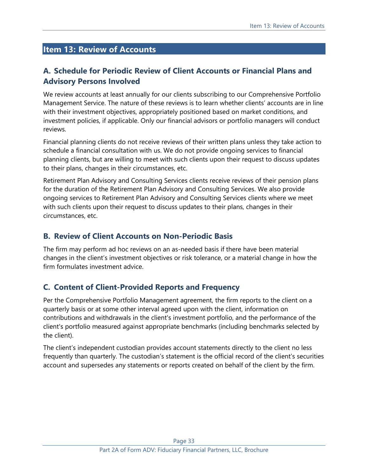# <span id="page-32-0"></span>**Item 13: Review of Accounts**

# **A. Schedule for Periodic Review of Client Accounts or Financial Plans and Advisory Persons Involved**

We review accounts at least annually for our clients subscribing to our Comprehensive Portfolio Management Service. The nature of these reviews is to learn whether clients' accounts are in line with their investment objectives, appropriately positioned based on market conditions, and investment policies, if applicable. Only our financial advisors or portfolio managers will conduct reviews.

Financial planning clients do not receive reviews of their written plans unless they take action to schedule a financial consultation with us. We do not provide ongoing services to financial planning clients, but are willing to meet with such clients upon their request to discuss updates to their plans, changes in their circumstances, etc.

Retirement Plan Advisory and Consulting Services clients receive reviews of their pension plans for the duration of the Retirement Plan Advisory and Consulting Services. We also provide ongoing services to Retirement Plan Advisory and Consulting Services clients where we meet with such clients upon their request to discuss updates to their plans, changes in their circumstances, etc.

## **B. Review of Client Accounts on Non-Periodic Basis**

The firm may perform ad hoc reviews on an as-needed basis if there have been material changes in the client's investment objectives or risk tolerance, or a material change in how the firm formulates investment advice.

## **C. Content of Client-Provided Reports and Frequency**

Per the Comprehensive Portfolio Management agreement, the firm reports to the client on a quarterly basis or at some other interval agreed upon with the client, information on contributions and withdrawals in the client's investment portfolio, and the performance of the client's portfolio measured against appropriate benchmarks (including benchmarks selected by the client).

The client's independent custodian provides account statements directly to the client no less frequently than quarterly. The custodian's statement is the official record of the client's securities account and supersedes any statements or reports created on behalf of the client by the firm.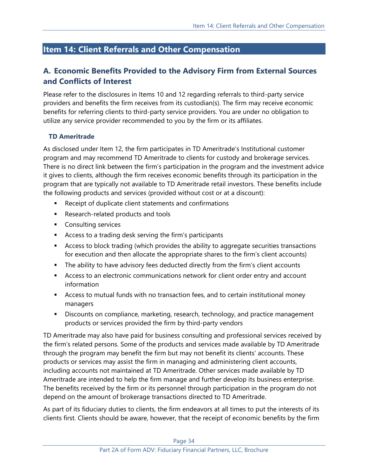# <span id="page-33-0"></span>**Item 14: Client Referrals and Other Compensation**

# **A. Economic Benefits Provided to the Advisory Firm from External Sources and Conflicts of Interest**

Please refer to the disclosures in Items 10 and 12 regarding referrals to third-party service providers and benefits the firm receives from its custodian(s). The firm may receive economic benefits for referring clients to third-party service providers. You are under no obligation to utilize any service provider recommended to you by the firm or its affiliates.

### **TD Ameritrade**

As disclosed under Item 12, the firm participates in TD Ameritrade's Institutional customer program and may recommend TD Ameritrade to clients for custody and brokerage services. There is no direct link between the firm's participation in the program and the investment advice it gives to clients, although the firm receives economic benefits through its participation in the program that are typically not available to TD Ameritrade retail investors. These benefits include the following products and services (provided without cost or at a discount):

- Receipt of duplicate client statements and confirmations
- Research-related products and tools
- Consulting services
- Access to a trading desk serving the firm's participants
- Access to block trading (which provides the ability to aggregate securities transactions for execution and then allocate the appropriate shares to the firm's client accounts)
- **•** The ability to have advisory fees deducted directly from the firm's client accounts
- **EXEC** Access to an electronic communications network for client order entry and account information
- Access to mutual funds with no transaction fees, and to certain institutional money managers
- **EXP** Discounts on compliance, marketing, research, technology, and practice management products or services provided the firm by third-party vendors

TD Ameritrade may also have paid for business consulting and professional services received by the firm's related persons. Some of the products and services made available by TD Ameritrade through the program may benefit the firm but may not benefit its clients' accounts. These products or services may assist the firm in managing and administering client accounts, including accounts not maintained at TD Ameritrade. Other services made available by TD Ameritrade are intended to help the firm manage and further develop its business enterprise. The benefits received by the firm or its personnel through participation in the program do not depend on the amount of brokerage transactions directed to TD Ameritrade.

As part of its fiduciary duties to clients, the firm endeavors at all times to put the interests of its clients first. Clients should be aware, however, that the receipt of economic benefits by the firm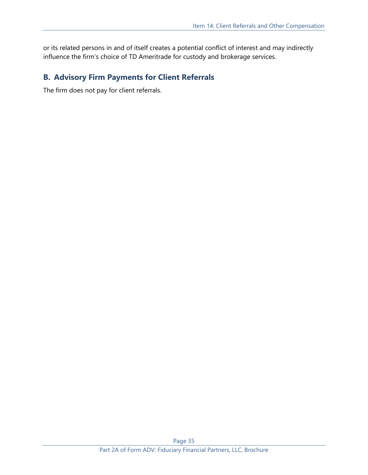or its related persons in and of itself creates a potential conflict of interest and may indirectly influence the firm's choice of TD Ameritrade for custody and brokerage services.

# **B. Advisory Firm Payments for Client Referrals**

The firm does not pay for client referrals.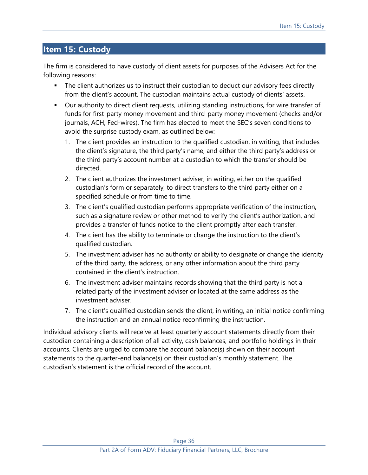# <span id="page-35-0"></span>**Item 15: Custody**

The firm is considered to have custody of client assets for purposes of the Advisers Act for the following reasons:

- **The client authorizes us to instruct their custodian to deduct our advisory fees directly** from the client's account. The custodian maintains actual custody of clients' assets.
- Our authority to direct client requests, utilizing standing instructions, for wire transfer of funds for first-party money movement and third-party money movement (checks and/or journals, ACH, Fed-wires). The firm has elected to meet the SEC's seven conditions to avoid the surprise custody exam, as outlined below:
	- 1. The client provides an instruction to the qualified custodian, in writing, that includes the client's signature, the third party's name, and either the third party's address or the third party's account number at a custodian to which the transfer should be directed.
	- 2. The client authorizes the investment adviser, in writing, either on the qualified custodian's form or separately, to direct transfers to the third party either on a specified schedule or from time to time.
	- 3. The client's qualified custodian performs appropriate verification of the instruction, such as a signature review or other method to verify the client's authorization, and provides a transfer of funds notice to the client promptly after each transfer.
	- 4. The client has the ability to terminate or change the instruction to the client's qualified custodian.
	- 5. The investment adviser has no authority or ability to designate or change the identity of the third party, the address, or any other information about the third party contained in the client's instruction.
	- 6. The investment adviser maintains records showing that the third party is not a related party of the investment adviser or located at the same address as the investment adviser.
	- 7. The client's qualified custodian sends the client, in writing, an initial notice confirming the instruction and an annual notice reconfirming the instruction.

Individual advisory clients will receive at least quarterly account statements directly from their custodian containing a description of all activity, cash balances, and portfolio holdings in their accounts. Clients are urged to compare the account balance(s) shown on their account statements to the quarter-end balance(s) on their custodian's monthly statement. The custodian's statement is the official record of the account.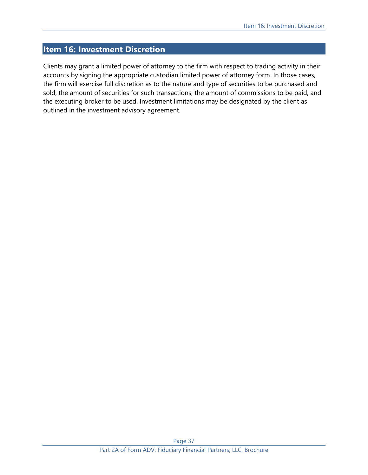# <span id="page-36-0"></span>**Item 16: Investment Discretion**

Clients may grant a limited power of attorney to the firm with respect to trading activity in their accounts by signing the appropriate custodian limited power of attorney form. In those cases, the firm will exercise full discretion as to the nature and type of securities to be purchased and sold, the amount of securities for such transactions, the amount of commissions to be paid, and the executing broker to be used. Investment limitations may be designated by the client as outlined in the investment advisory agreement.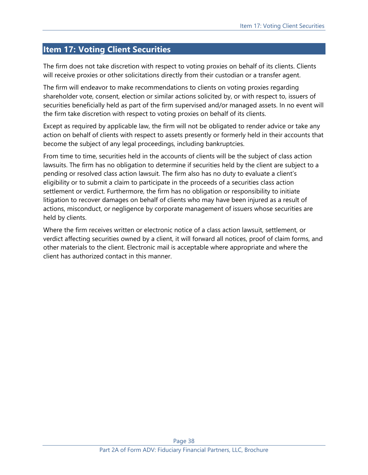# <span id="page-37-0"></span>**Item 17: Voting Client Securities**

The firm does not take discretion with respect to voting proxies on behalf of its clients. Clients will receive proxies or other solicitations directly from their custodian or a transfer agent.

The firm will endeavor to make recommendations to clients on voting proxies regarding shareholder vote, consent, election or similar actions solicited by, or with respect to, issuers of securities beneficially held as part of the firm supervised and/or managed assets. In no event will the firm take discretion with respect to voting proxies on behalf of its clients.

Except as required by applicable law, the firm will not be obligated to render advice or take any action on behalf of clients with respect to assets presently or formerly held in their accounts that become the subject of any legal proceedings, including bankruptcies.

From time to time, securities held in the accounts of clients will be the subject of class action lawsuits. The firm has no obligation to determine if securities held by the client are subject to a pending or resolved class action lawsuit. The firm also has no duty to evaluate a client's eligibility or to submit a claim to participate in the proceeds of a securities class action settlement or verdict. Furthermore, the firm has no obligation or responsibility to initiate litigation to recover damages on behalf of clients who may have been injured as a result of actions, misconduct, or negligence by corporate management of issuers whose securities are held by clients.

Where the firm receives written or electronic notice of a class action lawsuit, settlement, or verdict affecting securities owned by a client, it will forward all notices, proof of claim forms, and other materials to the client. Electronic mail is acceptable where appropriate and where the client has authorized contact in this manner.